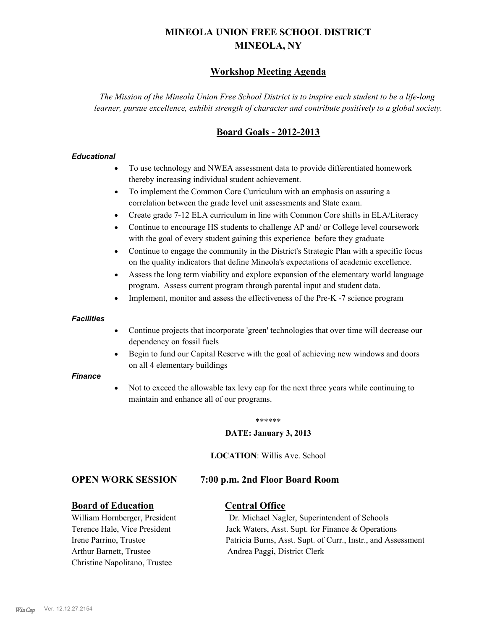# **MINEOLA UNION FREE SCHOOL DISTRICT MINEOLA, NY**

# **Workshop Meeting Agenda**

*The Mission of the Mineola Union Free School District is to inspire each student to be a life-long learner, pursue excellence, exhibit strength of character and contribute positively to a global society.*

# **Board Goals - 2012-2013**

### *Educational*

- · To use technology and NWEA assessment data to provide differentiated homework thereby increasing individual student achievement.
- · To implement the Common Core Curriculum with an emphasis on assuring a correlation between the grade level unit assessments and State exam.
- Create grade 7-12 ELA curriculum in line with Common Core shifts in ELA/Literacy
- Continue to encourage HS students to challenge AP and/ or College level coursework with the goal of every student gaining this experience before they graduate
- · Continue to engage the community in the District's Strategic Plan with a specific focus on the quality indicators that define Mineola's expectations of academic excellence.
- Assess the long term viability and explore expansion of the elementary world language program. Assess current program through parental input and student data.
- Implement, monitor and assess the effectiveness of the Pre-K -7 science program

### *Facilities*

- · Continue projects that incorporate 'green' technologies that over time will decrease our dependency on fossil fuels
- · Begin to fund our Capital Reserve with the goal of achieving new windows and doors on all 4 elementary buildings

### *Finance*

Not to exceed the allowable tax levy cap for the next three years while continuing to maintain and enhance all of our programs.

#### \*\*\*\*\*\*

### **DATE: January 3, 2013**

**LOCATION**: Willis Ave. School

## **OPEN WORK SESSION 7:00 p.m. 2nd Floor Board Room**

## **Board of Education Central Office**

Arthur Barnett, Trustee Andrea Paggi, District Clerk Christine Napolitano, Trustee

William Hornberger, President Dr. Michael Nagler, Superintendent of Schools Terence Hale, Vice President Jack Waters, Asst. Supt. for Finance & Operations Irene Parrino, Trustee Patricia Burns, Asst. Supt. of Curr., Instr., and Assessment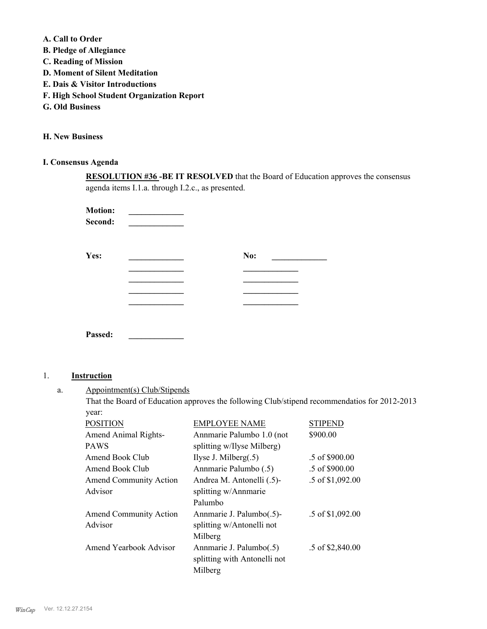**A. Call to Order** 

- **B. Pledge of Allegiance**
- **C. Reading of Mission**
- **D. Moment of Silent Meditation**
- **E. Dais & Visitor Introductions**
- **F. High School Student Organization Report**
- **G. Old Business**

**H. New Business**

# **I. Consensus Agenda**

**RESOLUTION #36 -BE IT RESOLVED** that the Board of Education approves the consensus agenda items I.1.a. through I.2.c., as presented.

**Motion: Second: \_\_\_\_\_\_\_\_\_\_\_\_\_**

| Yes: | No: |
|------|-----|
|      |     |
|      |     |
|      |     |
|      |     |
|      |     |
|      |     |

## 1. **Instruction**

**Passed: \_\_\_\_\_\_\_\_\_\_\_\_\_**

Appointment(s) Club/Stipends a.

> That the Board of Education approves the following Club/stipend recommendatios for 2012-2013 year:

| <b>POSITION</b>               | <b>EMPLOYEE NAME</b>         | STIPEND                  |
|-------------------------------|------------------------------|--------------------------|
| <b>Amend Animal Rights-</b>   | Annmarie Palumbo 1.0 (not    | \$900.00                 |
| <b>PAWS</b>                   | splitting w/Ilyse Milberg)   |                          |
| Amend Book Club               | Ilyse J. Milberg $(.5)$      | $.5 \text{ of } $900.00$ |
| Amend Book Club               | Annmarie Palumbo (.5)        | $.5 \text{ of } $900.00$ |
| <b>Amend Community Action</b> | Andrea M. Antonelli (.5)-    | .5 of \$1,092.00         |
| Advisor                       | splitting w/Annmarie         |                          |
|                               | Palumbo                      |                          |
| <b>Amend Community Action</b> | Annmarie J. Palumbo(.5)-     | .5 of \$1,092.00         |
| Advisor                       | splitting w/Antonelli not    |                          |
|                               | Milberg                      |                          |
| Amend Yearbook Advisor        | Annmarie J. Palumbo(.5)      | .5 of \$2,840.00         |
|                               | splitting with Antonelli not |                          |
|                               | Milberg                      |                          |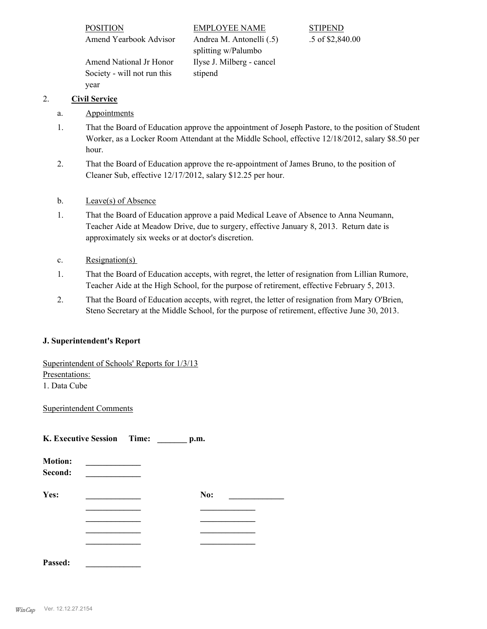| <b>POSITION</b>             | <b>EMPLOYEE NAME</b>      | <b>STIPEND</b>   |
|-----------------------------|---------------------------|------------------|
| Amend Yearbook Advisor      | Andrea M. Antonelli (.5)  | .5 of \$2,840.00 |
|                             | splitting w/Palumbo       |                  |
| Amend National Jr Honor     | Ilyse J. Milberg - cancel |                  |
| Society - will not run this | stipend                   |                  |

# 2. **Civil Service**

a. Appointments

year

- That the Board of Education approve the appointment of Joseph Pastore, to the position of Student Worker, as a Locker Room Attendant at the Middle School, effective 12/18/2012, salary \$8.50 per hour. 1.
- That the Board of Education approve the re-appointment of James Bruno, to the position of Cleaner Sub, effective 12/17/2012, salary \$12.25 per hour. 2.
- b. Leave(s) of Absence
- That the Board of Education approve a paid Medical Leave of Absence to Anna Neumann, Teacher Aide at Meadow Drive, due to surgery, effective January 8, 2013. Return date is approximately six weeks or at doctor's discretion. 1.
- c. Resignation(s)
- That the Board of Education accepts, with regret, the letter of resignation from Lillian Rumore, Teacher Aide at the High School, for the purpose of retirement, effective February 5, 2013. 1.
- That the Board of Education accepts, with regret, the letter of resignation from Mary O'Brien, Steno Secretary at the Middle School, for the purpose of retirement, effective June 30, 2013. 2.

## **J. Superintendent's Report**

Superintendent of Schools' Reports for 1/3/13

Presentations: 1. Data Cube

Superintendent Comments

**K. Executive Session Time: \_\_\_\_\_\_\_ p.m.**

| <b>Motion:</b><br>Second: |     |
|---------------------------|-----|
| Yes:                      | No: |
|                           |     |
|                           |     |
|                           |     |
|                           |     |
| Passed:                   |     |